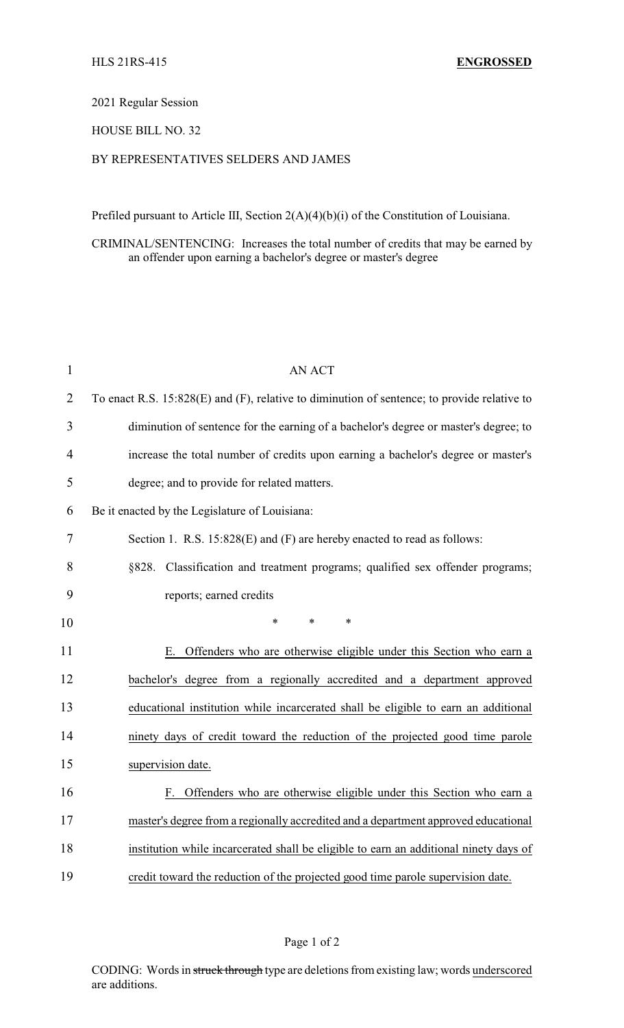#### 2021 Regular Session

## HOUSE BILL NO. 32

# BY REPRESENTATIVES SELDERS AND JAMES

Prefiled pursuant to Article III, Section 2(A)(4)(b)(i) of the Constitution of Louisiana.

CRIMINAL/SENTENCING: Increases the total number of credits that may be earned by an offender upon earning a bachelor's degree or master's degree

| $\mathbf{1}$   | <b>AN ACT</b>                                                                               |
|----------------|---------------------------------------------------------------------------------------------|
| $\overline{2}$ | To enact R.S. 15:828(E) and (F), relative to diminution of sentence; to provide relative to |
| 3              | diminution of sentence for the earning of a bachelor's degree or master's degree; to        |
| 4              | increase the total number of credits upon earning a bachelor's degree or master's           |
| 5              | degree; and to provide for related matters.                                                 |
| 6              | Be it enacted by the Legislature of Louisiana:                                              |
| 7              | Section 1. R.S. 15:828(E) and (F) are hereby enacted to read as follows:                    |
| 8              | §828. Classification and treatment programs; qualified sex offender programs;               |
| 9              | reports; earned credits                                                                     |
| 10             | $\ast$<br>$\ast$<br>$\ast$                                                                  |
| 11             | E. Offenders who are otherwise eligible under this Section who earn a                       |
| 12             | bachelor's degree from a regionally accredited and a department approved                    |
| 13             | educational institution while incarcerated shall be eligible to earn an additional          |
| 14             | ninety days of credit toward the reduction of the projected good time parole                |
| 15             | supervision date.                                                                           |
| 16             | F. Offenders who are otherwise eligible under this Section who earn a                       |
| 17             | master's degree from a regionally accredited and a department approved educational          |
| 18             | institution while incarcerated shall be eligible to earn an additional ninety days of       |
| 19             | credit toward the reduction of the projected good time parole supervision date.             |

### Page 1 of 2

CODING: Words in struck through type are deletions from existing law; words underscored are additions.